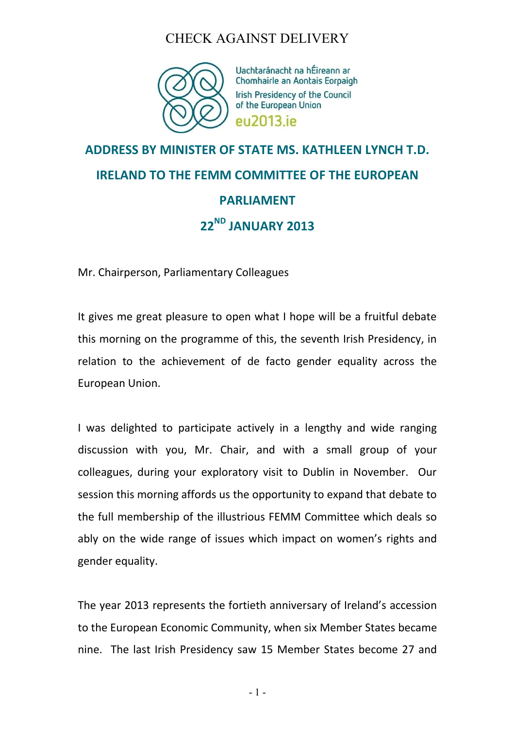

Uachtaránacht na hÉireann ar Chomhairle an Aontais Eorpaigh Irish Presidency of the Council of the European Union eu2013 ie

# **ADDRESS BY MINISTER OF STATE MS. KATHLEEN LYNCH T.D. IRELAND TO THE FEMM COMMITTEE OF THE EUROPEAN PARLIAMENT 22ND JANUARY 2013**

Mr. Chairperson, Parliamentary Colleagues

It gives me great pleasure to open what I hope will be a fruitful debate this morning on the programme of this, the seventh Irish Presidency, in relation to the achievement of de facto gender equality across the European Union.

I was delighted to participate actively in a lengthy and wide ranging discussion with you, Mr. Chair, and with a small group of your colleagues, during your exploratory visit to Dublin in November. Our session this morning affords us the opportunity to expand that debate to the full membership of the illustrious FEMM Committee which deals so ably on the wide range of issues which impact on women's rights and gender equality.

The year 2013 represents the fortieth anniversary of Ireland's accession to the European Economic Community, when six Member States became nine. The last Irish Presidency saw 15 Member States become 27 and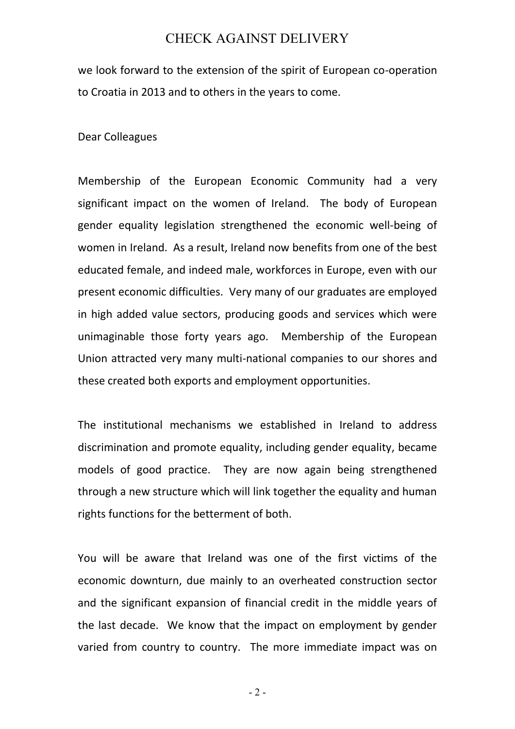we look forward to the extension of the spirit of European co-operation to Croatia in 2013 and to others in the years to come.

Dear Colleagues

Membership of the European Economic Community had a very significant impact on the women of Ireland. The body of European gender equality legislation strengthened the economic well-being of women in Ireland. As a result, Ireland now benefits from one of the best educated female, and indeed male, workforces in Europe, even with our present economic difficulties. Very many of our graduates are employed in high added value sectors, producing goods and services which were unimaginable those forty years ago. Membership of the European Union attracted very many multi-national companies to our shores and these created both exports and employment opportunities.

The institutional mechanisms we established in Ireland to address discrimination and promote equality, including gender equality, became models of good practice. They are now again being strengthened through a new structure which will link together the equality and human rights functions for the betterment of both.

You will be aware that Ireland was one of the first victims of the economic downturn, due mainly to an overheated construction sector and the significant expansion of financial credit in the middle years of the last decade. We know that the impact on employment by gender varied from country to country. The more immediate impact was on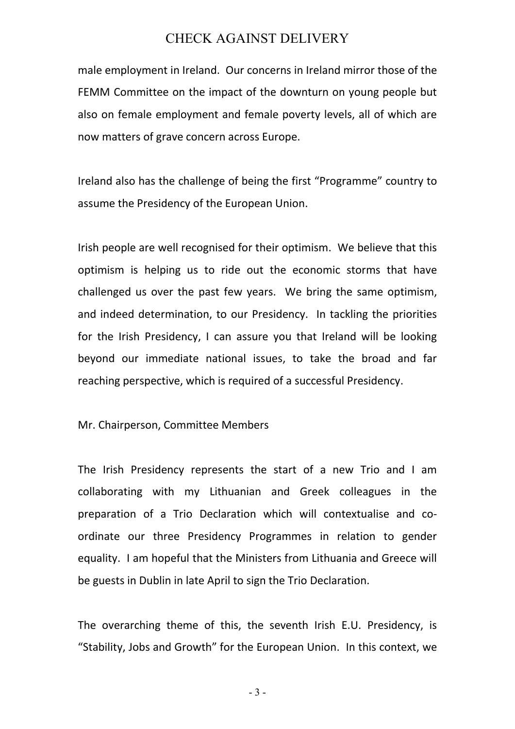male employment in Ireland. Our concerns in Ireland mirror those of the FEMM Committee on the impact of the downturn on young people but also on female employment and female poverty levels, all of which are now matters of grave concern across Europe.

Ireland also has the challenge of being the first "Programme" country to assume the Presidency of the European Union.

Irish people are well recognised for their optimism. We believe that this optimism is helping us to ride out the economic storms that have challenged us over the past few years. We bring the same optimism, and indeed determination, to our Presidency. In tackling the priorities for the Irish Presidency, I can assure you that Ireland will be looking beyond our immediate national issues, to take the broad and far reaching perspective, which is required of a successful Presidency.

Mr. Chairperson, Committee Members

The Irish Presidency represents the start of a new Trio and I am collaborating with my Lithuanian and Greek colleagues in the preparation of a Trio Declaration which will contextualise and coordinate our three Presidency Programmes in relation to gender equality. I am hopeful that the Ministers from Lithuania and Greece will be guests in Dublin in late April to sign the Trio Declaration.

The overarching theme of this, the seventh Irish E.U. Presidency, is "Stability, Jobs and Growth" for the European Union. In this context, we

- 3 -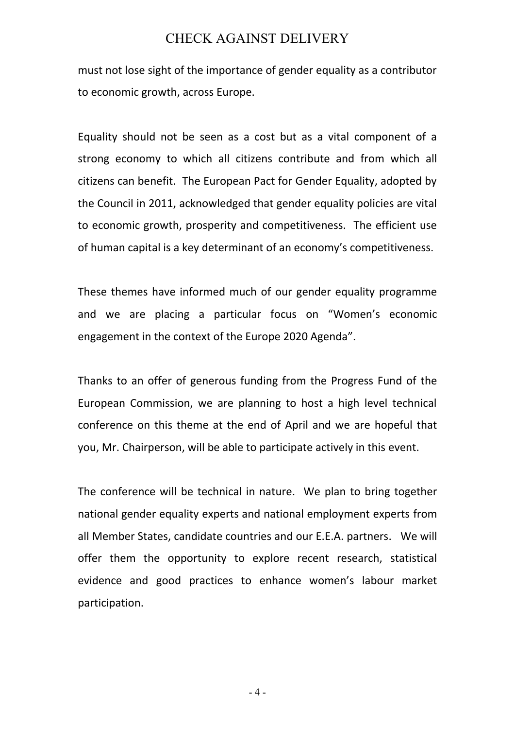must not lose sight of the importance of gender equality as a contributor to economic growth, across Europe.

Equality should not be seen as a cost but as a vital component of a strong economy to which all citizens contribute and from which all citizens can benefit. The European Pact for Gender Equality, adopted by the Council in 2011, acknowledged that gender equality policies are vital to economic growth, prosperity and competitiveness. The efficient use of human capital is a key determinant of an economy's competitiveness.

These themes have informed much of our gender equality programme and we are placing a particular focus on "Women's economic engagement in the context of the Europe 2020 Agenda".

Thanks to an offer of generous funding from the Progress Fund of the European Commission, we are planning to host a high level technical conference on this theme at the end of April and we are hopeful that you, Mr. Chairperson, will be able to participate actively in this event.

The conference will be technical in nature. We plan to bring together national gender equality experts and national employment experts from all Member States, candidate countries and our E.E.A. partners. We will offer them the opportunity to explore recent research, statistical evidence and good practices to enhance women's labour market participation.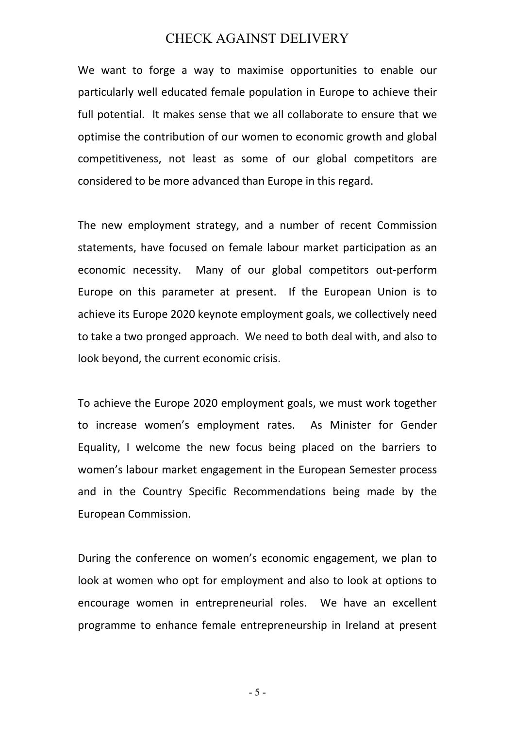We want to forge a way to maximise opportunities to enable our particularly well educated female population in Europe to achieve their full potential. It makes sense that we all collaborate to ensure that we optimise the contribution of our women to economic growth and global competitiveness, not least as some of our global competitors are considered to be more advanced than Europe in this regard.

The new employment strategy, and a number of recent Commission statements, have focused on female labour market participation as an economic necessity. Many of our global competitors out-perform Europe on this parameter at present. If the European Union is to achieve its Europe 2020 keynote employment goals, we collectively need to take a two pronged approach. We need to both deal with, and also to look beyond, the current economic crisis.

To achieve the Europe 2020 employment goals, we must work together to increase women's employment rates. As Minister for Gender Equality, I welcome the new focus being placed on the barriers to women's labour market engagement in the European Semester process and in the Country Specific Recommendations being made by the European Commission.

During the conference on women's economic engagement, we plan to look at women who opt for employment and also to look at options to encourage women in entrepreneurial roles. We have an excellent programme to enhance female entrepreneurship in Ireland at present

- 5 -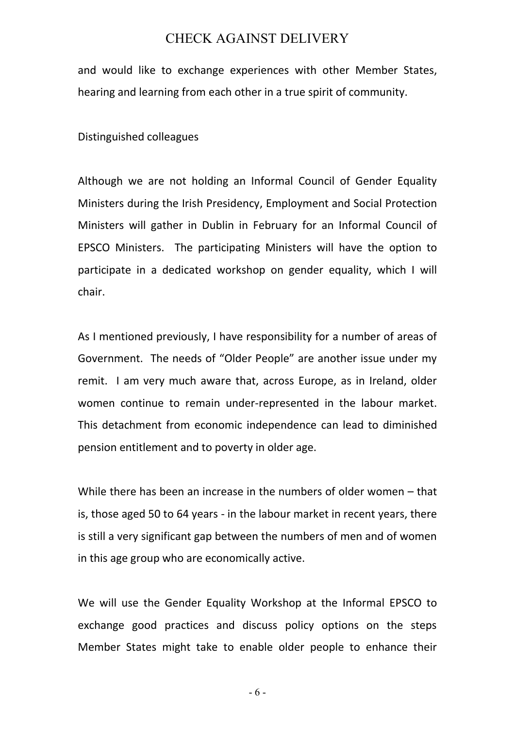and would like to exchange experiences with other Member States, hearing and learning from each other in a true spirit of community.

Distinguished colleagues

Although we are not holding an Informal Council of Gender Equality Ministers during the Irish Presidency, Employment and Social Protection Ministers will gather in Dublin in February for an Informal Council of EPSCO Ministers. The participating Ministers will have the option to participate in a dedicated workshop on gender equality, which I will chair.

As I mentioned previously, I have responsibility for a number of areas of Government. The needs of "Older People" are another issue under my remit. I am very much aware that, across Europe, as in Ireland, older women continue to remain under-represented in the labour market. This detachment from economic independence can lead to diminished pension entitlement and to poverty in older age.

While there has been an increase in the numbers of older women – that is, those aged 50 to 64 years - in the labour market in recent years, there is still a very significant gap between the numbers of men and of women in this age group who are economically active.

We will use the Gender Equality Workshop at the Informal EPSCO to exchange good practices and discuss policy options on the steps Member States might take to enable older people to enhance their

- 6 -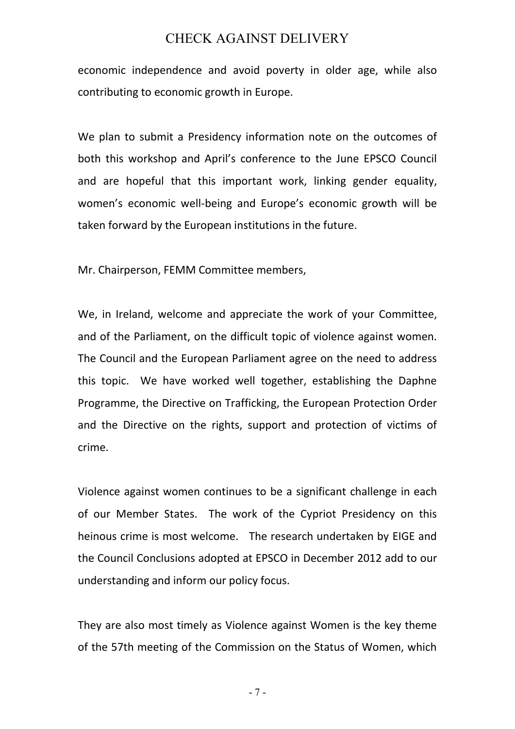economic independence and avoid poverty in older age, while also contributing to economic growth in Europe.

We plan to submit a Presidency information note on the outcomes of both this workshop and April's conference to the June EPSCO Council and are hopeful that this important work, linking gender equality, women's economic well-being and Europe's economic growth will be taken forward by the European institutions in the future.

Mr. Chairperson, FEMM Committee members,

We, in Ireland, welcome and appreciate the work of your Committee, and of the Parliament, on the difficult topic of violence against women. The Council and the European Parliament agree on the need to address this topic. We have worked well together, establishing the Daphne Programme, the Directive on Trafficking, the European Protection Order and the Directive on the rights, support and protection of victims of crime.

Violence against women continues to be a significant challenge in each of our Member States. The work of the Cypriot Presidency on this heinous crime is most welcome. The research undertaken by EIGE and the Council Conclusions adopted at EPSCO in December 2012 add to our understanding and inform our policy focus.

They are also most timely as Violence against Women is the key theme of the 57th meeting of the Commission on the Status of Women, which

- 7 -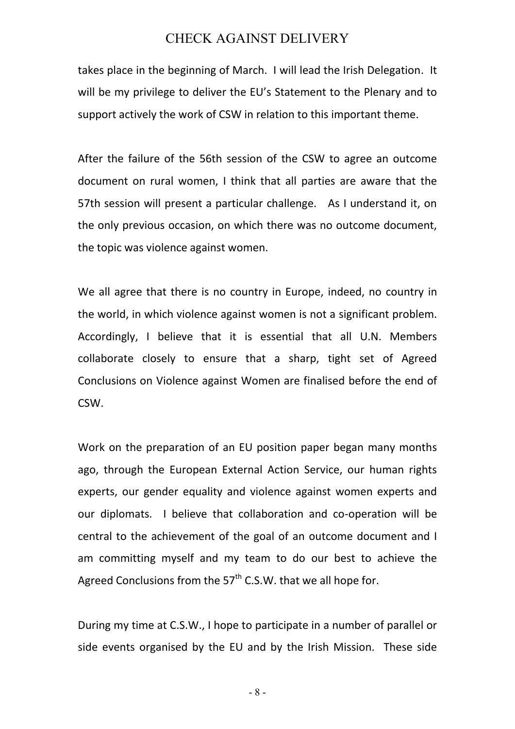takes place in the beginning of March. I will lead the Irish Delegation. It will be my privilege to deliver the EU's Statement to the Plenary and to support actively the work of CSW in relation to this important theme.

After the failure of the 56th session of the CSW to agree an outcome document on rural women, I think that all parties are aware that the 57th session will present a particular challenge. As I understand it, on the only previous occasion, on which there was no outcome document, the topic was violence against women.

We all agree that there is no country in Europe, indeed, no country in the world, in which violence against women is not a significant problem. Accordingly, I believe that it is essential that all U.N. Members collaborate closely to ensure that a sharp, tight set of Agreed Conclusions on Violence against Women are finalised before the end of CSW.

Work on the preparation of an EU position paper began many months ago, through the European External Action Service, our human rights experts, our gender equality and violence against women experts and our diplomats. I believe that collaboration and co-operation will be central to the achievement of the goal of an outcome document and I am committing myself and my team to do our best to achieve the Agreed Conclusions from the  $57<sup>th</sup>$  C.S.W. that we all hope for.

During my time at C.S.W., I hope to participate in a number of parallel or side events organised by the EU and by the Irish Mission. These side

- 8 -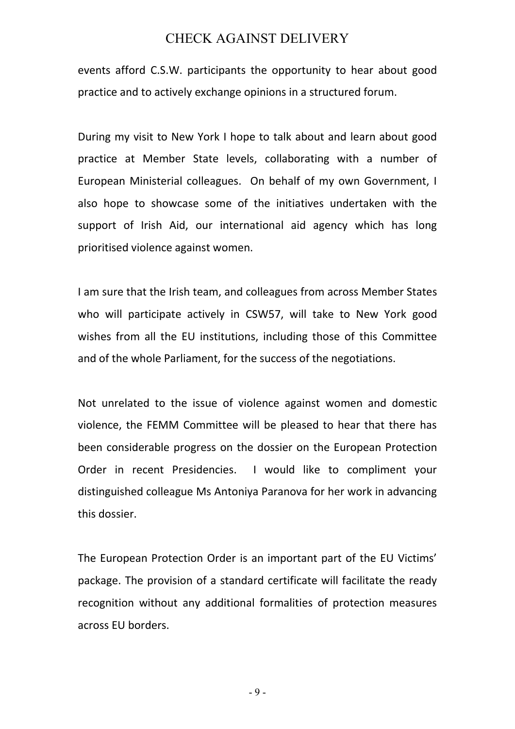events afford C.S.W. participants the opportunity to hear about good practice and to actively exchange opinions in a structured forum.

During my visit to New York I hope to talk about and learn about good practice at Member State levels, collaborating with a number of European Ministerial colleagues. On behalf of my own Government, I also hope to showcase some of the initiatives undertaken with the support of Irish Aid, our international aid agency which has long prioritised violence against women.

I am sure that the Irish team, and colleagues from across Member States who will participate actively in CSW57, will take to New York good wishes from all the EU institutions, including those of this Committee and of the whole Parliament, for the success of the negotiations.

Not unrelated to the issue of violence against women and domestic violence, the FEMM Committee will be pleased to hear that there has been considerable progress on the dossier on the European Protection Order in recent Presidencies. I would like to compliment your distinguished colleague Ms Antoniya Paranova for her work in advancing this dossier.

The European Protection Order is an important part of the EU Victims' package. The provision of a standard certificate will facilitate the ready recognition without any additional formalities of protection measures across EU borders.

- 9 -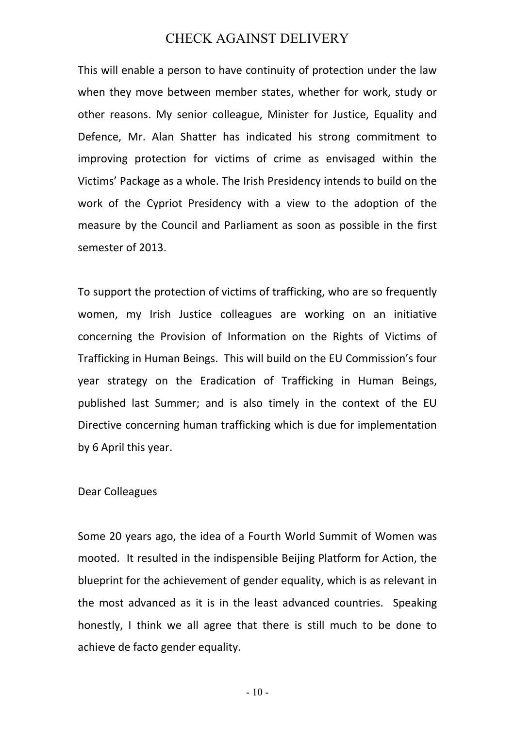This will enable a person to have continuity of protection under the law when they move between member states, whether for work, study or other reasons. My senior colleague, Minister for Justice, Equality and Defence, Mr. Alan Shatter has indicated his strong commitment to improving protection for victims of crime as envisaged within the Victims' Package as a whole. The Irish Presidency intends to build on the work of the Cypriot Presidency with a view to the adoption of the measure by the Council and Parliament as soon as possible in the first semester of 2013.

To support the protection of victims of trafficking, who are so frequently women, my Irish Justice colleagues are working on an initiative concerning the Provision of Information on the Rights of Victims of Trafficking in Human Beings. This will build on the EU Commission's four year strategy on the Eradication of Trafficking in Human Beings, published last Summer; and is also timely in the context of the EU Directive concerning human trafficking which is due for implementation by 6 April this year.

#### Dear Colleagues

Some 20 years ago, the idea of a Fourth World Summit of Women was mooted. It resulted in the indispensible Beijing Platform for Action, the blueprint for the achievement of gender equality, which is as relevant in the most advanced as it is in the least advanced countries. Speaking honestly, I think we all agree that there is still much to be done to achieve de facto gender equality.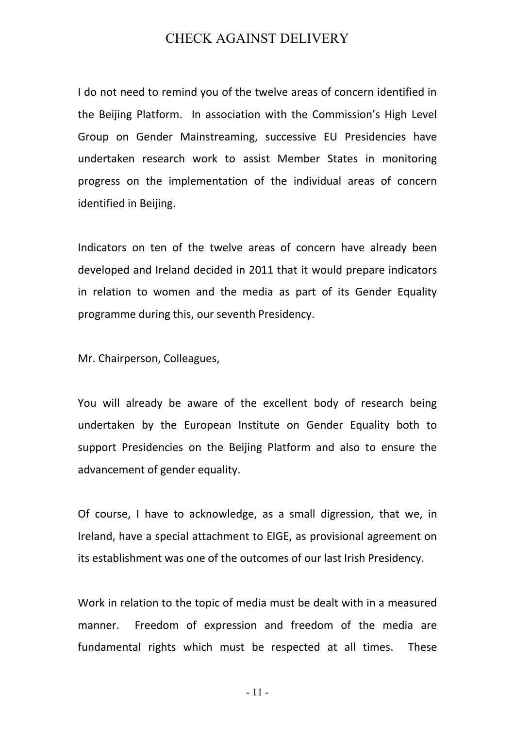I do not need to remind you of the twelve areas of concern identified in the Beijing Platform. In association with the Commission's High Level Group on Gender Mainstreaming, successive EU Presidencies have undertaken research work to assist Member States in monitoring progress on the implementation of the individual areas of concern identified in Beijing.

Indicators on ten of the twelve areas of concern have already been developed and Ireland decided in 2011 that it would prepare indicators in relation to women and the media as part of its Gender Equality programme during this, our seventh Presidency.

Mr. Chairperson, Colleagues,

You will already be aware of the excellent body of research being undertaken by the European Institute on Gender Equality both to support Presidencies on the Beijing Platform and also to ensure the advancement of gender equality.

Of course, I have to acknowledge, as a small digression, that we, in Ireland, have a special attachment to EIGE, as provisional agreement on its establishment was one of the outcomes of our last Irish Presidency.

Work in relation to the topic of media must be dealt with in a measured manner. Freedom of expression and freedom of the media are fundamental rights which must be respected at all times. These

- 11 -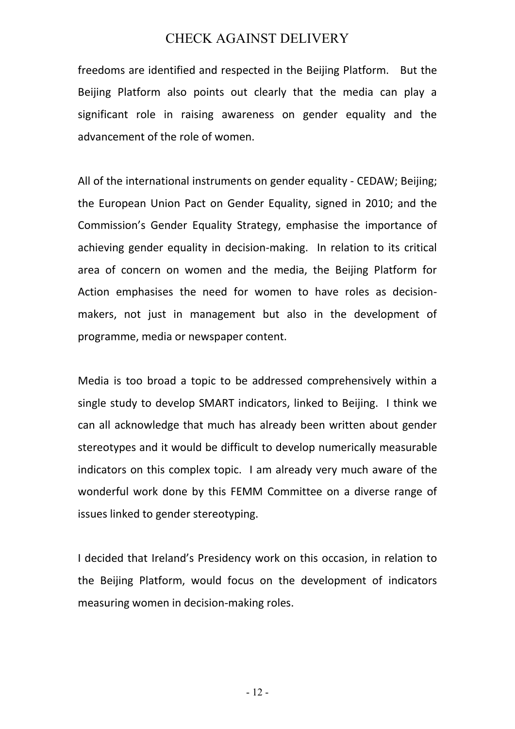freedoms are identified and respected in the Beijing Platform. But the Beijing Platform also points out clearly that the media can play a significant role in raising awareness on gender equality and the advancement of the role of women.

All of the international instruments on gender equality - CEDAW; Beijing; the European Union Pact on Gender Equality, signed in 2010; and the Commission's Gender Equality Strategy, emphasise the importance of achieving gender equality in decision-making. In relation to its critical area of concern on women and the media, the Beijing Platform for Action emphasises the need for women to have roles as decisionmakers, not just in management but also in the development of programme, media or newspaper content.

Media is too broad a topic to be addressed comprehensively within a single study to develop SMART indicators, linked to Beijing. I think we can all acknowledge that much has already been written about gender stereotypes and it would be difficult to develop numerically measurable indicators on this complex topic. I am already very much aware of the wonderful work done by this FEMM Committee on a diverse range of issues linked to gender stereotyping.

I decided that Ireland's Presidency work on this occasion, in relation to the Beijing Platform, would focus on the development of indicators measuring women in decision-making roles.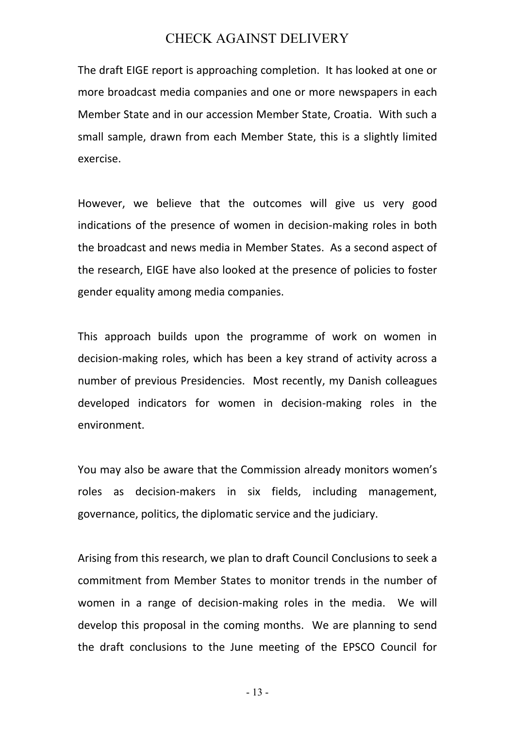The draft EIGE report is approaching completion. It has looked at one or more broadcast media companies and one or more newspapers in each Member State and in our accession Member State, Croatia. With such a small sample, drawn from each Member State, this is a slightly limited exercise.

However, we believe that the outcomes will give us very good indications of the presence of women in decision-making roles in both the broadcast and news media in Member States. As a second aspect of the research, EIGE have also looked at the presence of policies to foster gender equality among media companies.

This approach builds upon the programme of work on women in decision-making roles, which has been a key strand of activity across a number of previous Presidencies. Most recently, my Danish colleagues developed indicators for women in decision-making roles in the environment.

You may also be aware that the Commission already monitors women's roles as decision-makers in six fields, including management, governance, politics, the diplomatic service and the judiciary.

Arising from this research, we plan to draft Council Conclusions to seek a commitment from Member States to monitor trends in the number of women in a range of decision-making roles in the media. We will develop this proposal in the coming months. We are planning to send the draft conclusions to the June meeting of the EPSCO Council for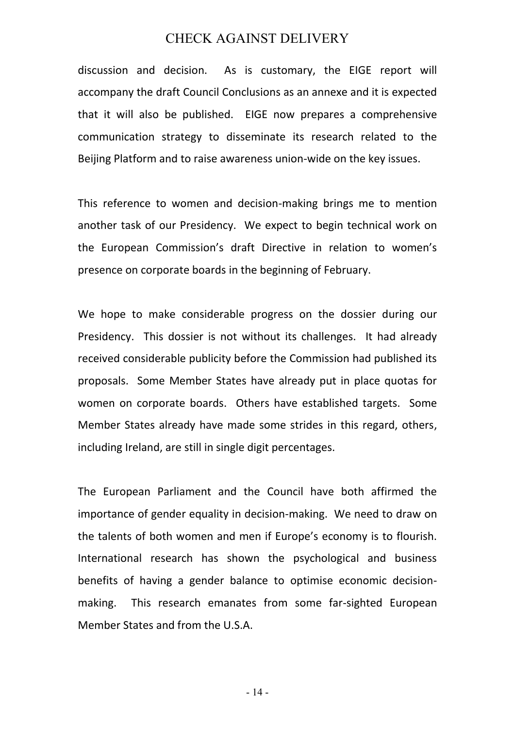discussion and decision. As is customary, the EIGE report will accompany the draft Council Conclusions as an annexe and it is expected that it will also be published. EIGE now prepares a comprehensive communication strategy to disseminate its research related to the Beijing Platform and to raise awareness union-wide on the key issues.

This reference to women and decision-making brings me to mention another task of our Presidency. We expect to begin technical work on the European Commission's draft Directive in relation to women's presence on corporate boards in the beginning of February.

We hope to make considerable progress on the dossier during our Presidency. This dossier is not without its challenges. It had already received considerable publicity before the Commission had published its proposals. Some Member States have already put in place quotas for women on corporate boards. Others have established targets. Some Member States already have made some strides in this regard, others, including Ireland, are still in single digit percentages.

The European Parliament and the Council have both affirmed the importance of gender equality in decision-making. We need to draw on the talents of both women and men if Europe's economy is to flourish. International research has shown the psychological and business benefits of having a gender balance to optimise economic decisionmaking. This research emanates from some far-sighted European Member States and from the U.S.A.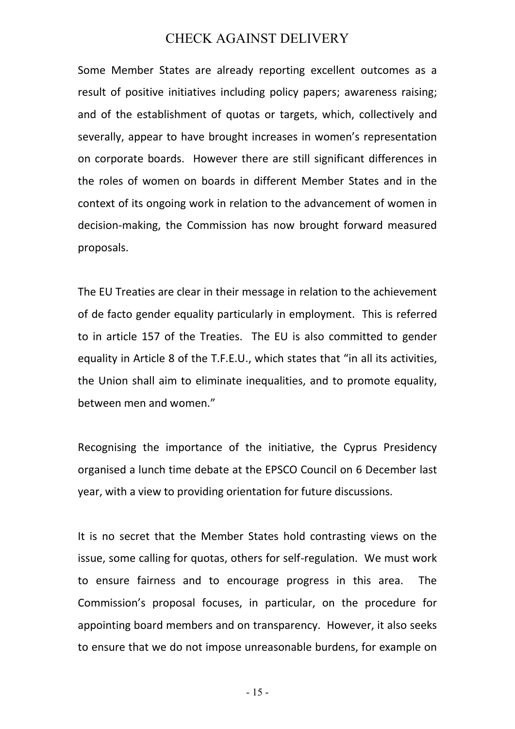Some Member States are already reporting excellent outcomes as a result of positive initiatives including policy papers; awareness raising; and of the establishment of quotas or targets, which, collectively and severally, appear to have brought increases in women's representation on corporate boards. However there are still significant differences in the roles of women on boards in different Member States and in the context of its ongoing work in relation to the advancement of women in decision-making, the Commission has now brought forward measured proposals.

The EU Treaties are clear in their message in relation to the achievement of de facto gender equality particularly in employment. This is referred to in article 157 of the Treaties. The EU is also committed to gender equality in Article 8 of the T.F.E.U., which states that "in all its activities, the Union shall aim to eliminate inequalities, and to promote equality, between men and women."

Recognising the importance of the initiative, the Cyprus Presidency organised a lunch time debate at the EPSCO Council on 6 December last year, with a view to providing orientation for future discussions.

It is no secret that the Member States hold contrasting views on the issue, some calling for quotas, others for self-regulation. We must work to ensure fairness and to encourage progress in this area. The Commission's proposal focuses, in particular, on the procedure for appointing board members and on transparency. However, it also seeks to ensure that we do not impose unreasonable burdens, for example on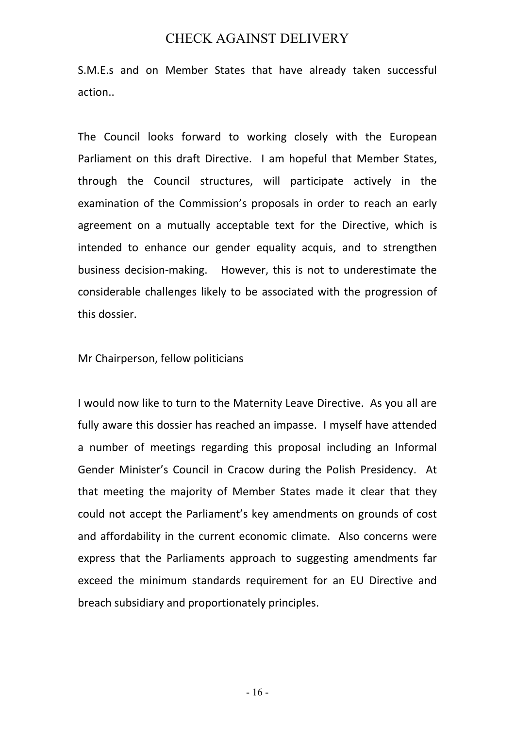S.M.E.s and on Member States that have already taken successful action..

The Council looks forward to working closely with the European Parliament on this draft Directive. I am hopeful that Member States, through the Council structures, will participate actively in the examination of the Commission's proposals in order to reach an early agreement on a mutually acceptable text for the Directive, which is intended to enhance our gender equality acquis, and to strengthen business decision-making. However, this is not to underestimate the considerable challenges likely to be associated with the progression of this dossier.

Mr Chairperson, fellow politicians

I would now like to turn to the Maternity Leave Directive. As you all are fully aware this dossier has reached an impasse. I myself have attended a number of meetings regarding this proposal including an Informal Gender Minister's Council in Cracow during the Polish Presidency. At that meeting the majority of Member States made it clear that they could not accept the Parliament's key amendments on grounds of cost and affordability in the current economic climate. Also concerns were express that the Parliaments approach to suggesting amendments far exceed the minimum standards requirement for an EU Directive and breach subsidiary and proportionately principles.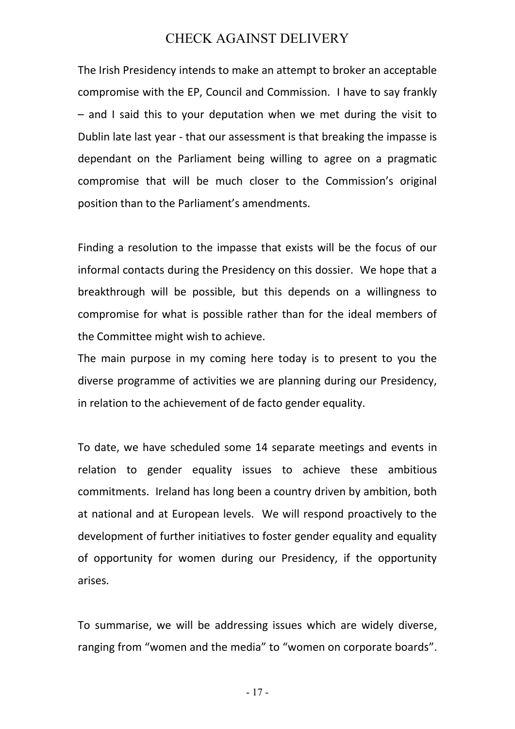The Irish Presidency intends to make an attempt to broker an acceptable compromise with the EP, Council and Commission. I have to say frankly – and I said this to your deputation when we met during the visit to Dublin late last year - that our assessment is that breaking the impasse is dependant on the Parliament being willing to agree on a pragmatic compromise that will be much closer to the Commission's original position than to the Parliament's amendments.

Finding a resolution to the impasse that exists will be the focus of our informal contacts during the Presidency on this dossier. We hope that a breakthrough will be possible, but this depends on a willingness to compromise for what is possible rather than for the ideal members of the Committee might wish to achieve.

The main purpose in my coming here today is to present to you the diverse programme of activities we are planning during our Presidency, in relation to the achievement of de facto gender equality.

To date, we have scheduled some 14 separate meetings and events in relation to gender equality issues to achieve these ambitious commitments. Ireland has long been a country driven by ambition, both at national and at European levels. We will respond proactively to the development of further initiatives to foster gender equality and equality of opportunity for women during our Presidency, if the opportunity arises.

To summarise, we will be addressing issues which are widely diverse, ranging from "women and the media" to "women on corporate boards".

- 17 -